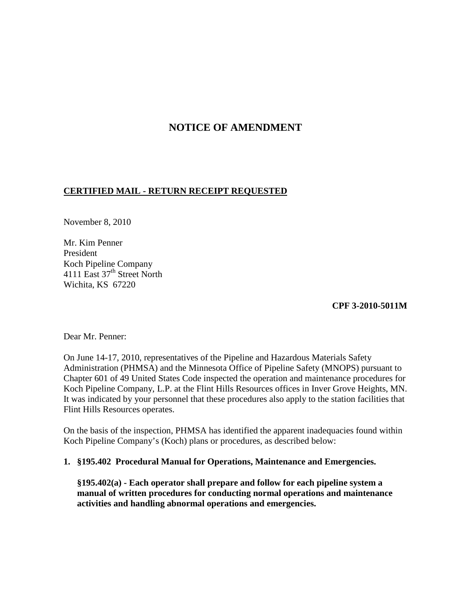# **NOTICE OF AMENDMENT**

# **CERTIFIED MAIL - RETURN RECEIPT REQUESTED**

November 8, 2010

Mr. Kim Penner President Koch Pipeline Company 4111 East 37<sup>th</sup> Street North Wichita, KS 67220

**CPF 3-2010-5011M**

Dear Mr. Penner:

On June 14-17, 2010, representatives of the Pipeline and Hazardous Materials Safety Administration (PHMSA) and the Minnesota Office of Pipeline Safety (MNOPS) pursuant to Chapter 601 of 49 United States Code inspected the operation and maintenance procedures for Koch Pipeline Company, L.P. at the Flint Hills Resources offices in Inver Grove Heights, MN. It was indicated by your personnel that these procedures also apply to the station facilities that Flint Hills Resources operates.

On the basis of the inspection, PHMSA has identified the apparent inadequacies found within Koch Pipeline Company's (Koch) plans or procedures, as described below:

### **1. §195.402 Procedural Manual for Operations, Maintenance and Emergencies.**

**§195.402(a) - Each operator shall prepare and follow for each pipeline system a manual of written procedures for conducting normal operations and maintenance activities and handling abnormal operations and emergencies.**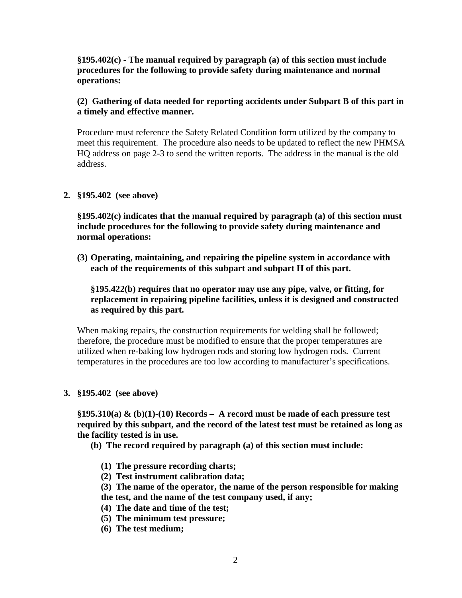**§195.402(c) - The manual required by paragraph (a) of this section must include procedures for the following to provide safety during maintenance and normal operations:**

# **(2) Gathering of data needed for reporting accidents under Subpart B of this part in a timely and effective manner.**

Procedure must reference the Safety Related Condition form utilized by the company to meet this requirement. The procedure also needs to be updated to reflect the new PHMSA HQ address on page 2-3 to send the written reports. The address in the manual is the old address.

### **2. §195.402 (see above)**

**§195.402(c) indicates that the manual required by paragraph (a) of this section must include procedures for the following to provide safety during maintenance and normal operations:**

**(3) Operating, maintaining, and repairing the pipeline system in accordance with each of the requirements of this subpart and subpart H of this part.**

**§195.422(b) requires that no operator may use any pipe, valve, or fitting, for replacement in repairing pipeline facilities, unless it is designed and constructed as required by this part.**

When making repairs, the construction requirements for welding shall be followed; therefore, the procedure must be modified to ensure that the proper temperatures are utilized when re-baking low hydrogen rods and storing low hydrogen rods. Current temperatures in the procedures are too low according to manufacturer's specifications.

#### **3. §195.402 (see above)**

**§195.310(a) & (b)(1)-(10) Records – A record must be made of each pressure test required by this subpart, and the record of the latest test must be retained as long as the facility tested is in use.**

- **(b) The record required by paragraph (a) of this section must include:**
	- **(1) The pressure recording charts;**
	- **(2) Test instrument calibration data;**
	- **(3) The name of the operator, the name of the person responsible for making**
	- **the test, and the name of the test company used, if any;**
	- **(4) The date and time of the test;**
	- **(5) The minimum test pressure;**
	- **(6) The test medium;**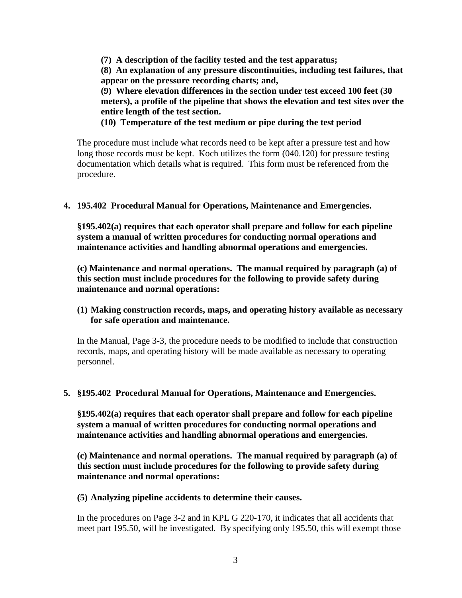**(7) A description of the facility tested and the test apparatus; (8) An explanation of any pressure discontinuities, including test failures, that appear on the pressure recording charts; and, (9) Where elevation differences in the section under test exceed 100 feet (30** 

**meters), a profile of the pipeline that shows the elevation and test sites over the entire length of the test section.**

**(10) Temperature of the test medium or pipe during the test period**

The procedure must include what records need to be kept after a pressure test and how long those records must be kept. Koch utilizes the form (040.120) for pressure testing documentation which details what is required. This form must be referenced from the procedure.

### **4. 195.402 Procedural Manual for Operations, Maintenance and Emergencies.**

**§195.402(a) requires that each operator shall prepare and follow for each pipeline system a manual of written procedures for conducting normal operations and maintenance activities and handling abnormal operations and emergencies.**

**(c) Maintenance and normal operations. The manual required by paragraph (a) of this section must include procedures for the following to provide safety during maintenance and normal operations:**

### **(1) Making construction records, maps, and operating history available as necessary for safe operation and maintenance.**

In the Manual, Page 3-3, the procedure needs to be modified to include that construction records, maps, and operating history will be made available as necessary to operating personnel.

### **5. §195.402 Procedural Manual for Operations, Maintenance and Emergencies.**

**§195.402(a) requires that each operator shall prepare and follow for each pipeline system a manual of written procedures for conducting normal operations and maintenance activities and handling abnormal operations and emergencies.**

**(c) Maintenance and normal operations. The manual required by paragraph (a) of this section must include procedures for the following to provide safety during maintenance and normal operations:**

#### **(5) Analyzing pipeline accidents to determine their causes.**

In the procedures on Page 3-2 and in KPL G 220-170, it indicates that all accidents that meet part 195.50, will be investigated. By specifying only 195.50, this will exempt those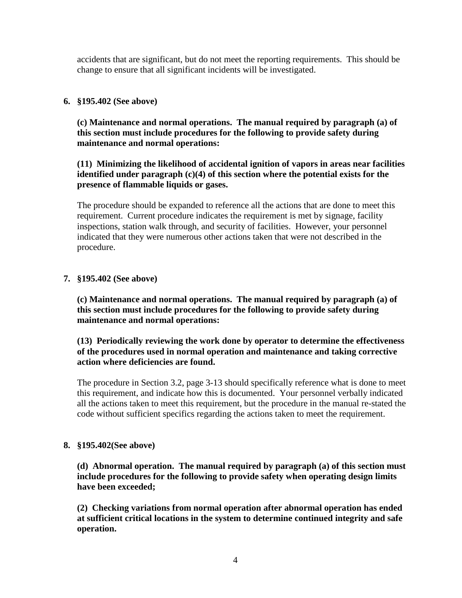accidents that are significant, but do not meet the reporting requirements. This should be change to ensure that all significant incidents will be investigated.

### **6. §195.402 (See above)**

**(c) Maintenance and normal operations. The manual required by paragraph (a) of this section must include procedures for the following to provide safety during maintenance and normal operations:**

# **(11) Minimizing the likelihood of accidental ignition of vapors in areas near facilities identified under paragraph (c)(4) of this section where the potential exists for the presence of flammable liquids or gases.**

The procedure should be expanded to reference all the actions that are done to meet this requirement. Current procedure indicates the requirement is met by signage, facility inspections, station walk through, and security of facilities. However, your personnel indicated that they were numerous other actions taken that were not described in the procedure.

### **7. §195.402 (See above)**

**(c) Maintenance and normal operations. The manual required by paragraph (a) of this section must include procedures for the following to provide safety during maintenance and normal operations:**

### **(13) Periodically reviewing the work done by operator to determine the effectiveness of the procedures used in normal operation and maintenance and taking corrective action where deficiencies are found.**

The procedure in Section 3.2, page 3-13 should specifically reference what is done to meet this requirement, and indicate how this is documented. Your personnel verbally indicated all the actions taken to meet this requirement, but the procedure in the manual re-stated the code without sufficient specifics regarding the actions taken to meet the requirement.

### **8. §195.402(See above)**

**(d) Abnormal operation. The manual required by paragraph (a) of this section must include procedures for the following to provide safety when operating design limits have been exceeded;**

**(2) Checking variations from normal operation after abnormal operation has ended at sufficient critical locations in the system to determine continued integrity and safe operation.**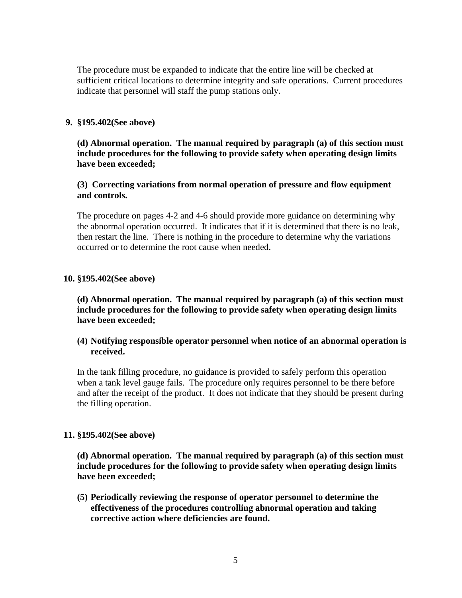The procedure must be expanded to indicate that the entire line will be checked at sufficient critical locations to determine integrity and safe operations. Current procedures indicate that personnel will staff the pump stations only.

### **9. §195.402(See above)**

**(d) Abnormal operation. The manual required by paragraph (a) of this section must include procedures for the following to provide safety when operating design limits have been exceeded;**

### **(3) Correcting variations from normal operation of pressure and flow equipment and controls.**

The procedure on pages 4-2 and 4-6 should provide more guidance on determining why the abnormal operation occurred. It indicates that if it is determined that there is no leak, then restart the line. There is nothing in the procedure to determine why the variations occurred or to determine the root cause when needed.

### **10. §195.402(See above)**

**(d) Abnormal operation. The manual required by paragraph (a) of this section must include procedures for the following to provide safety when operating design limits have been exceeded;**

### **(4) Notifying responsible operator personnel when notice of an abnormal operation is received.**

In the tank filling procedure, no guidance is provided to safely perform this operation when a tank level gauge fails. The procedure only requires personnel to be there before and after the receipt of the product. It does not indicate that they should be present during the filling operation.

### **11. §195.402(See above)**

**(d) Abnormal operation. The manual required by paragraph (a) of this section must include procedures for the following to provide safety when operating design limits have been exceeded;**

**(5) Periodically reviewing the response of operator personnel to determine the effectiveness of the procedures controlling abnormal operation and taking corrective action where deficiencies are found.**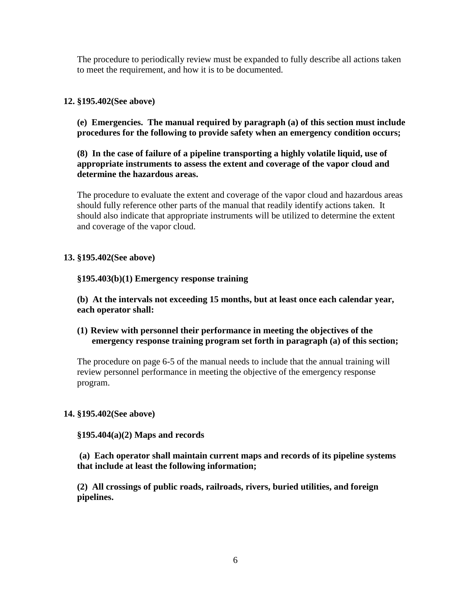The procedure to periodically review must be expanded to fully describe all actions taken to meet the requirement, and how it is to be documented.

# **12. §195.402(See above)**

**(e) Emergencies. The manual required by paragraph (a) of this section must include procedures for the following to provide safety when an emergency condition occurs;**

**(8) In the case of failure of a pipeline transporting a highly volatile liquid, use of appropriate instruments to assess the extent and coverage of the vapor cloud and determine the hazardous areas.**

The procedure to evaluate the extent and coverage of the vapor cloud and hazardous areas should fully reference other parts of the manual that readily identify actions taken. It should also indicate that appropriate instruments will be utilized to determine the extent and coverage of the vapor cloud.

### **13. §195.402(See above)**

### **§195.403(b)(1) Emergency response training**

**(b) At the intervals not exceeding 15 months, but at least once each calendar year, each operator shall:**

# **(1) Review with personnel their performance in meeting the objectives of the emergency response training program set forth in paragraph (a) of this section;**

The procedure on page 6-5 of the manual needs to include that the annual training will review personnel performance in meeting the objective of the emergency response program.

### **14. §195.402(See above)**

### **§195.404(a)(2) Maps and records**

**(a) Each operator shall maintain current maps and records of its pipeline systems that include at least the following information;**

**(2) All crossings of public roads, railroads, rivers, buried utilities, and foreign pipelines.**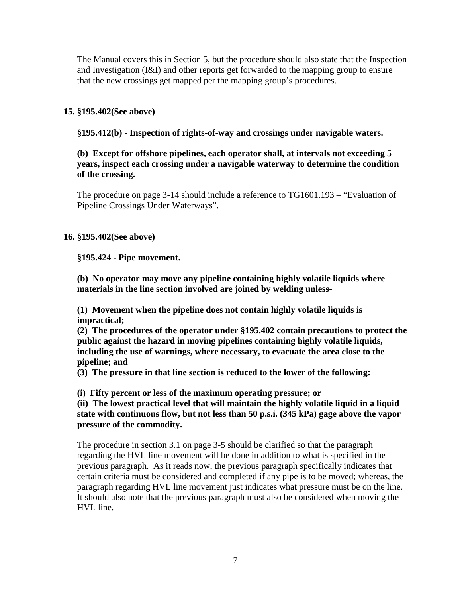The Manual covers this in Section 5, but the procedure should also state that the Inspection and Investigation (I&I) and other reports get forwarded to the mapping group to ensure that the new crossings get mapped per the mapping group's procedures.

### **15. §195.402(See above)**

**§195.412(b) - Inspection of rights-of-way and crossings under navigable waters.**

### **(b) Except for offshore pipelines, each operator shall, at intervals not exceeding 5 years, inspect each crossing under a navigable waterway to determine the condition of the crossing.**

The procedure on page 3-14 should include a reference to TG1601.193 – "Evaluation of Pipeline Crossings Under Waterways".

### **16. §195.402(See above)**

**§195.424 - Pipe movement.**

**(b) No operator may move any pipeline containing highly volatile liquids where materials in the line section involved are joined by welding unless-**

**(1) Movement when the pipeline does not contain highly volatile liquids is impractical;**

**(2) The procedures of the operator under §195.402 contain precautions to protect the public against the hazard in moving pipelines containing highly volatile liquids, including the use of warnings, where necessary, to evacuate the area close to the pipeline; and**

**(3) The pressure in that line section is reduced to the lower of the following:**

**(i) Fifty percent or less of the maximum operating pressure; or**

**(ii) The lowest practical level that will maintain the highly volatile liquid in a liquid state with continuous flow, but not less than 50 p.s.i. (345 kPa) gage above the vapor pressure of the commodity.**

The procedure in section 3.1 on page 3-5 should be clarified so that the paragraph regarding the HVL line movement will be done in addition to what is specified in the previous paragraph. As it reads now, the previous paragraph specifically indicates that certain criteria must be considered and completed if any pipe is to be moved; whereas, the paragraph regarding HVL line movement just indicates what pressure must be on the line. It should also note that the previous paragraph must also be considered when moving the HVL line.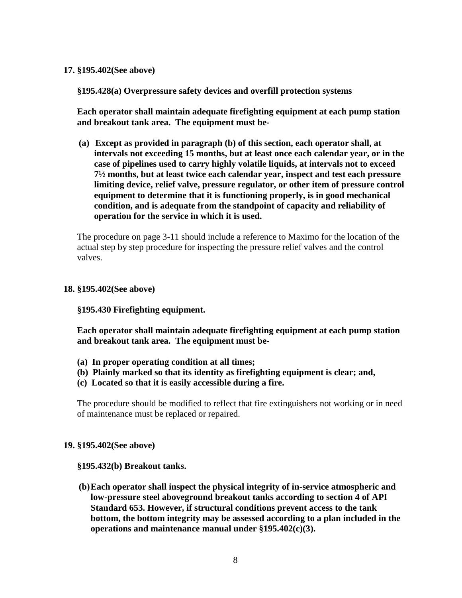#### **17. §195.402(See above)**

**§195.428(a) Overpressure safety devices and overfill protection systems**

**Each operator shall maintain adequate firefighting equipment at each pump station and breakout tank area. The equipment must be-**

**(a) Except as provided in paragraph (b) of this section, each operator shall, at intervals not exceeding 15 months, but at least once each calendar year, or in the case of pipelines used to carry highly volatile liquids, at intervals not to exceed 7½ months, but at least twice each calendar year, inspect and test each pressure limiting device, relief valve, pressure regulator, or other item of pressure control equipment to determine that it is functioning properly, is in good mechanical condition, and is adequate from the standpoint of capacity and reliability of operation for the service in which it is used.**

The procedure on page 3-11 should include a reference to Maximo for the location of the actual step by step procedure for inspecting the pressure relief valves and the control valves.

#### **18. §195.402(See above)**

### **§195.430 Firefighting equipment.**

**Each operator shall maintain adequate firefighting equipment at each pump station and breakout tank area. The equipment must be-**

- **(a) In proper operating condition at all times;**
- **(b) Plainly marked so that its identity as firefighting equipment is clear; and,**
- **(c) Located so that it is easily accessible during a fire.**

The procedure should be modified to reflect that fire extinguishers not working or in need of maintenance must be replaced or repaired.

#### **19. §195.402(See above)**

**§195.432(b) Breakout tanks.**

**(b)Each operator shall inspect the physical integrity of in-service atmospheric and low-pressure steel aboveground breakout tanks according to section 4 of API Standard 653. However, if structural conditions prevent access to the tank bottom, the bottom integrity may be assessed according to a plan included in the operations and maintenance manual under §195.402(c)(3).**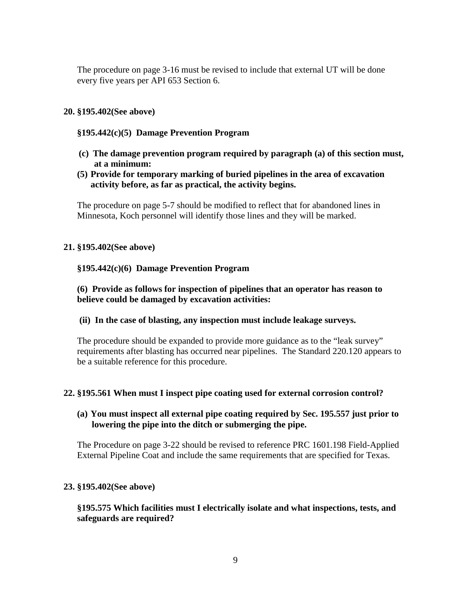The procedure on page 3-16 must be revised to include that external UT will be done every five years per API 653 Section 6.

### **20. §195.402(See above)**

# **§195.442(c)(5) Damage Prevention Program**

- **(c) The damage prevention program required by paragraph (a) of this section must, at a minimum:**
- **(5) Provide for temporary marking of buried pipelines in the area of excavation activity before, as far as practical, the activity begins.**

The procedure on page 5-7 should be modified to reflect that for abandoned lines in Minnesota, Koch personnel will identify those lines and they will be marked.

### **21. §195.402(See above)**

### **§195.442(c)(6) Damage Prevention Program**

### **(6) Provide as follows for inspection of pipelines that an operator has reason to believe could be damaged by excavation activities:**

**(ii) In the case of blasting, any inspection must include leakage surveys.**

The procedure should be expanded to provide more guidance as to the "leak survey" requirements after blasting has occurred near pipelines. The Standard 220.120 appears to be a suitable reference for this procedure.

### **22. §195.561 When must I inspect pipe coating used for external corrosion control?**

### **(a) You must inspect all external pipe coating required by Sec. 195.557 just prior to lowering the pipe into the ditch or submerging the pipe.**

The Procedure on page 3-22 should be revised to reference PRC 1601.198 Field-Applied External Pipeline Coat and include the same requirements that are specified for Texas.

### **23. §195.402(See above)**

### **§195.575 Which facilities must I electrically isolate and what inspections, tests, and safeguards are required?**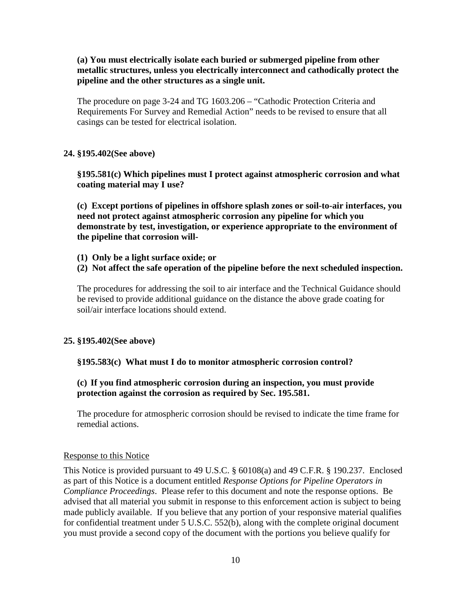**(a) You must electrically isolate each buried or submerged pipeline from other metallic structures, unless you electrically interconnect and cathodically protect the pipeline and the other structures as a single unit.**

The procedure on page 3-24 and TG 1603.206 – "Cathodic Protection Criteria and Requirements For Survey and Remedial Action" needs to be revised to ensure that all casings can be tested for electrical isolation.

### **24. §195.402(See above)**

**§195.581(c) Which pipelines must I protect against atmospheric corrosion and what coating material may I use?**

**(c) Except portions of pipelines in offshore splash zones or soil-to-air interfaces, you need not protect against atmospheric corrosion any pipeline for which you demonstrate by test, investigation, or experience appropriate to the environment of the pipeline that corrosion will-**

- **(1) Only be a light surface oxide; or**
- **(2) Not affect the safe operation of the pipeline before the next scheduled inspection.**

The procedures for addressing the soil to air interface and the Technical Guidance should be revised to provide additional guidance on the distance the above grade coating for soil/air interface locations should extend.

### **25. §195.402(See above)**

### **§195.583(c) What must I do to monitor atmospheric corrosion control?**

### **(c) If you find atmospheric corrosion during an inspection, you must provide protection against the corrosion as required by Sec. 195.581.**

The procedure for atmospheric corrosion should be revised to indicate the time frame for remedial actions.

#### Response to this Notice

This Notice is provided pursuant to 49 U.S.C. § 60108(a) and 49 C.F.R. § 190.237. Enclosed as part of this Notice is a document entitled *Response Options for Pipeline Operators in Compliance Proceedings*. Please refer to this document and note the response options. Be advised that all material you submit in response to this enforcement action is subject to being made publicly available. If you believe that any portion of your responsive material qualifies for confidential treatment under 5 U.S.C. 552(b), along with the complete original document you must provide a second copy of the document with the portions you believe qualify for